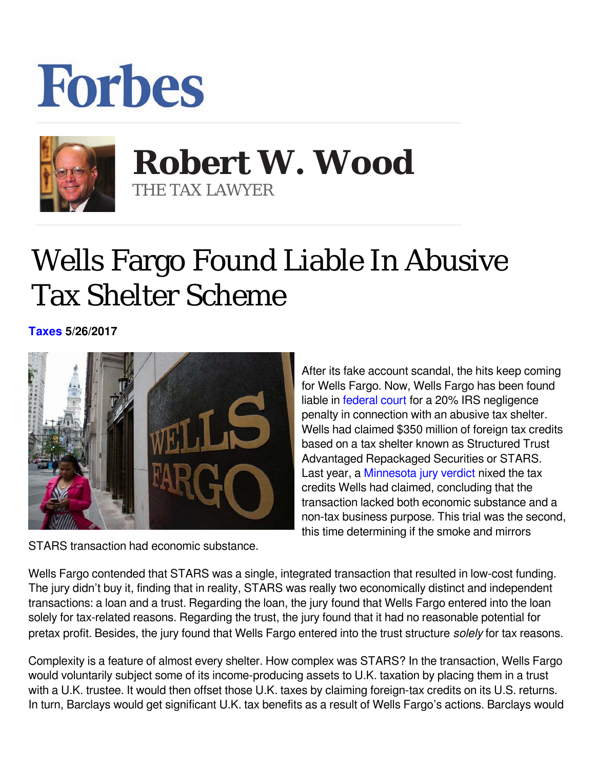## **Forbes**



## **Robert W. Wood** THE TAX LAWYER

## Wells Fargo Found Liable In Abusive Tax Shelter Scheme

**[Taxes](https://www.forbes.com/taxes) 5/26/2017** 



STARS transaction had economic substance.

After its fake account scandal, the hits keep coming for Wells Fargo. Now, Wells Fargo has been found liable in [federal court](https://www.justice.gov/opa/press-release/file/969941/download) for a 20% IRS negligence penalty in connection with an abusive tax shelter. Wells had claimed \$350 million of foreign tax credits based on a tax shelter known as Structured Trust Advantaged Repackaged Securities or STARS. Last year, a [Minnesota jury verdict](https://www.law360.com/articles/864145/jury-sides-with-feds-in-wells-fargo-76m-tax-credit-suit) nixed the tax credits Wells had claimed, concluding that the transaction lacked both economic substance and a non-tax business purpose. This trial was the second, this time determining if the smoke and mirrors

Wells Fargo contended that STARS was a single, integrated transaction that resulted in low-cost funding. The jury didn't buy it, finding that in reality, STARS was really two economically distinct and independent transactions: a loan and a trust. Regarding the loan, the jury found that Wells Fargo entered into the loan solely for tax-related reasons. Regarding the trust, the jury found that it had no reasonable potential for pretax profit. Besides, the jury found that Wells Fargo entered into the trust structure *solely* for tax reasons.

Complexity is a feature of almost every shelter. How complex was STARS? In the transaction, Wells Fargo would voluntarily subject some of its income-producing assets to U.K. taxation by placing them in a trust with a U.K. trustee. It would then offset those U.K. taxes by claiming foreign-tax credits on its U.S. returns. In turn, Barclays would get significant U.K. tax benefits as a result of Wells Fargo's actions. Barclays would